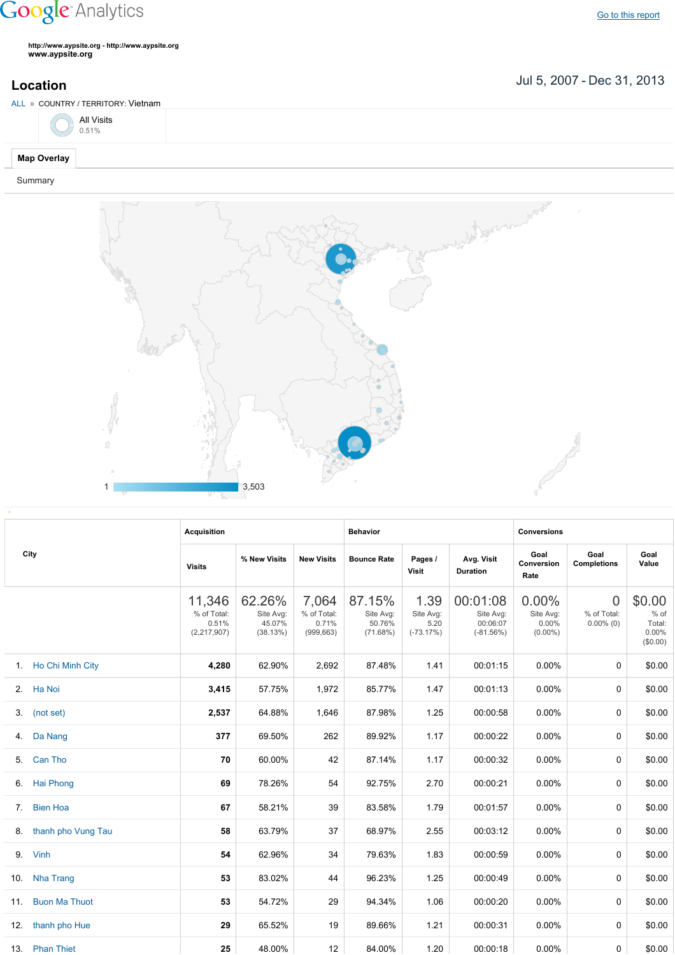## **Google** Analytics

**http://www.aypsite.org http://www.aypsite.org www.aypsite.org**

Jul 5, 2007 Dec 31, 2013 **Location**



Summary



|    |                       | <b>Acquisition</b>                              |                                           |                                             | <b>Behavior</b>                           |                                          |                                                  | <b>Conversions</b>                        |                                               |                                                 |
|----|-----------------------|-------------------------------------------------|-------------------------------------------|---------------------------------------------|-------------------------------------------|------------------------------------------|--------------------------------------------------|-------------------------------------------|-----------------------------------------------|-------------------------------------------------|
|    | City                  | <b>Visits</b>                                   | % New Visits                              | <b>New Visits</b>                           | <b>Bounce Rate</b>                        | Pages /<br>Visit                         | Avg. Visit<br><b>Duration</b>                    | Goal<br>Conversion<br>Rate                | Goal<br><b>Completions</b>                    | Goal<br>Value                                   |
|    |                       | 11,346<br>% of Total:<br>0.51%<br>(2, 217, 907) | 62.26%<br>Site Avg:<br>45.07%<br>(38.13%) | 7,064<br>% of Total:<br>0.71%<br>(999, 663) | 87.15%<br>Site Avg:<br>50.76%<br>(71.68%) | 1.39<br>Site Avg:<br>5.20<br>$(-73.17%)$ | 00:01:08<br>Site Avg:<br>00:06:07<br>$(-81.56%)$ | 0.00%<br>Site Avg:<br>0.00%<br>$(0.00\%)$ | $\overline{0}$<br>% of Total:<br>$0.00\%$ (0) | \$0.00<br>$%$ of<br>Total:<br>0.00%<br>(\$0.00) |
|    | 1. Ho Chi Minh City   | 4,280                                           | 62.90%                                    | 2,692                                       | 87.48%                                    | 1.41                                     | 00:01:15                                         | 0.00%                                     | $\Omega$                                      | \$0.00                                          |
|    | 2. Ha Noi             | 3,415                                           | 57.75%                                    | 1,972                                       | 85.77%                                    | 1.47                                     | 00:01:13                                         | 0.00%                                     | 0                                             | \$0.00                                          |
|    | 3. (not set)          | 2,537                                           | 64.88%                                    | 1,646                                       | 87.98%                                    | 1.25                                     | 00:00:58                                         | 0.00%                                     | 0                                             | \$0.00                                          |
| 4. | Da Nang               | 377                                             | 69.50%                                    | 262                                         | 89.92%                                    | 1.17                                     | 00:00:22                                         | $0.00\%$                                  | 0                                             | \$0.00                                          |
| 5. | Can Tho               | 70                                              | 60.00%                                    | 42                                          | 87.14%                                    | 1.17                                     | 00:00:32                                         | 0.00%                                     | 0                                             | \$0.00                                          |
|    | 6. Hai Phong          | 69                                              | 78.26%                                    | 54                                          | 92.75%                                    | 2.70                                     | 00:00:21                                         | $0.00\%$                                  | 0                                             | \$0.00                                          |
|    | 7. Bien Hoa           | 67                                              | 58.21%                                    | 39                                          | 83.58%                                    | 1.79                                     | 00:01:57                                         | $0.00\%$                                  | 0                                             | \$0.00                                          |
|    | 8. thanh pho Vung Tau | 58                                              | 63.79%                                    | 37                                          | 68.97%                                    | 2.55                                     | 00:03:12                                         | $0.00\%$                                  | 0                                             | \$0.00                                          |
|    | 9. Vinh               | 54                                              | 62.96%                                    | 34                                          | 79.63%                                    | 1.83                                     | 00:00:59                                         | $0.00\%$                                  | 0                                             | \$0.00                                          |
|    | 10. Nha Trang         | 53                                              | 83.02%                                    | 44                                          | 96.23%                                    | 1.25                                     | 00:00:49                                         | $0.00\%$                                  | 0                                             | \$0.00                                          |
|    | 11. Buon Ma Thuot     | 53                                              | 54.72%                                    | 29                                          | 94.34%                                    | 1.06                                     | 00:00:20                                         | 0.00%                                     | 0                                             | \$0.00                                          |
|    | 12. thanh pho Hue     | 29                                              | 65.52%                                    | 19                                          | 89.66%                                    | 1.21                                     | 00:00:31                                         | 0.00%                                     | 0                                             | \$0.00                                          |
|    | 13. Phan Thiet        | 25                                              | 48.00%                                    | 12                                          | 84.00%                                    | 1.20                                     | 00:00:18                                         | $0.00\%$                                  | 0                                             | \$0.00                                          |